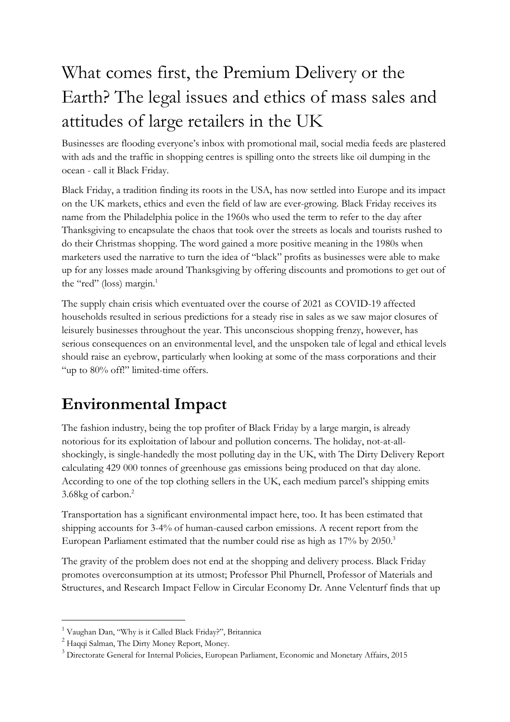# What comes first, the Premium Delivery or the Earth? The legal issues and ethics of mass sales and attitudes of large retailers in the UK

Businesses are flooding everyone's inbox with promotional mail, social media feeds are plastered with ads and the traffic in shopping centres is spilling onto the streets like oil dumping in the ocean - call it Black Friday.

Black Friday, a tradition finding its roots in the USA, has now settled into Europe and its impact on the UK markets, ethics and even the field of law are ever-growing. Black Friday receives its name from the Philadelphia police in the 1960s who used the term to refer to the day after Thanksgiving to encapsulate the chaos that took over the streets as locals and tourists rushed to do their Christmas shopping. The word gained a more positive meaning in the 1980s when marketers used the narrative to turn the idea of "black" profits as businesses were able to make up for any losses made around Thanksgiving by offering discounts and promotions to get out of the "red" (loss) margin.<sup>1</sup>

The supply chain crisis which eventuated over the course of 2021 as COVID-19 affected households resulted in serious predictions for a steady rise in sales as we saw major closures of leisurely businesses throughout the year. This unconscious shopping frenzy, however, has serious consequences on an environmental level, and the unspoken tale of legal and ethical levels should raise an eyebrow, particularly when looking at some of the mass corporations and their "up to 80% off!" limited-time offers.

#### **Environmental Impact**

The fashion industry, being the top profiter of Black Friday by a large margin, is already notorious for its exploitation of labour and pollution concerns. The holiday, not-at-allshockingly, is single-handedly the most polluting day in the UK, with The Dirty Delivery Report calculating 429 000 tonnes of greenhouse gas emissions being produced on that day alone. According to one of the top clothing sellers in the UK, each medium parcel's shipping emits 3.68kg of carbon.2

Transportation has a significant environmental impact here, too. It has been estimated that shipping accounts for 3-4% of human-caused carbon emissions. A recent report from the European Parliament estimated that the number could rise as high as 17% by 2050.<sup>3</sup>

The gravity of the problem does not end at the shopping and delivery process. Black Friday promotes overconsumption at its utmost; Professor Phil Phurnell, Professor of Materials and Structures, and Research Impact Fellow in Circular Economy Dr. Anne Velenturf finds that up

<sup>1</sup> Vaughan Dan, "Why is it Called Black Friday?", Britannica

<sup>&</sup>lt;sup>2</sup> Haqqi Salman, The Dirty Money Report, Money.

<sup>3</sup> Directorate General for Internal Policies, European Parliament, Economic and Monetary Affairs, 2015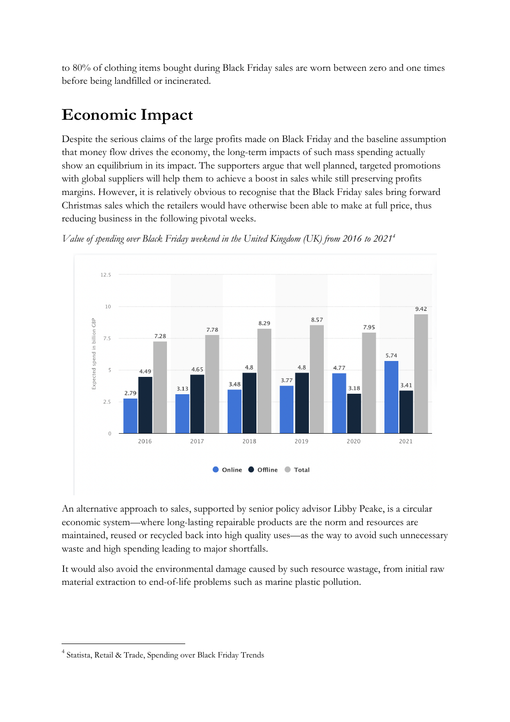to 80% of clothing items bought during Black Friday sales are worn between zero and one times before being landfilled or incinerated.

### **Economic Impact**

Despite the serious claims of the large profits made on Black Friday and the baseline assumption that money flow drives the economy, the long-term impacts of such mass spending actually show an equilibrium in its impact. The supporters argue that well planned, targeted promotions with global suppliers will help them to achieve a boost in sales while still preserving profits margins. However, it is relatively obvious to recognise that the Black Friday sales bring forward Christmas sales which the retailers would have otherwise been able to make at full price, thus reducing business in the following pivotal weeks.



*Value of spending over Black Friday weekend in the United Kingdom (UK) from 2016 to 20214*

An alternative approach to sales, supported by senior policy advisor Libby Peake, is a circular economic system—where long-lasting repairable products are the norm and resources are maintained, reused or recycled back into high quality uses—as the way to avoid such unnecessary waste and high spending leading to major shortfalls.

It would also avoid the environmental damage caused by such resource wastage, from initial raw material extraction to end-of-life problems such as marine plastic pollution.

<sup>4</sup> Statista, Retail & Trade, Spending over Black Friday Trends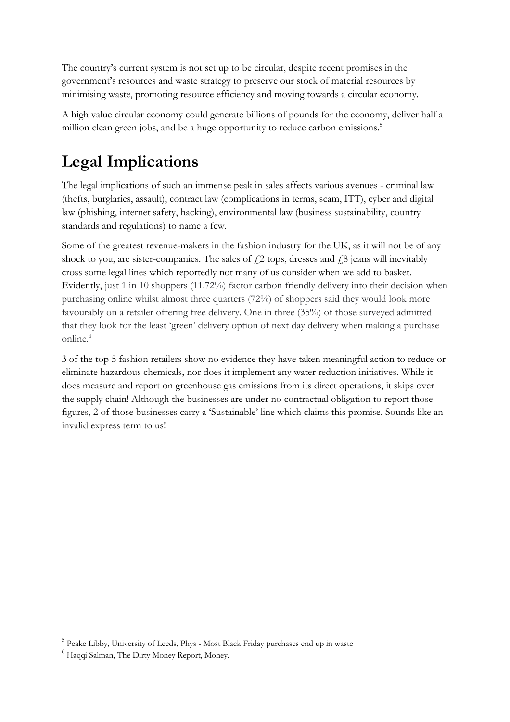The country's current system is not set up to be circular, despite recent promises in the government's resources and waste strategy to preserve our stock of material resources by minimising waste, promoting resource efficiency and moving towards a circular economy.

A high value circular economy could generate billions of pounds for the economy, deliver half a million clean green jobs, and be a huge opportunity to reduce carbon emissions.<sup>5</sup>

## **Legal Implications**

The legal implications of such an immense peak in sales affects various avenues - criminal law (thefts, burglaries, assault), contract law (complications in terms, scam, ITT), cyber and digital law (phishing, internet safety, hacking), environmental law (business sustainability, country standards and regulations) to name a few.

Some of the greatest revenue-makers in the fashion industry for the UK, as it will not be of any shock to you, are sister-companies. The sales of  $\ell$ 2 tops, dresses and  $\ell$ 8 jeans will inevitably cross some legal lines which reportedly not many of us consider when we add to basket. Evidently, just 1 in 10 shoppers (11.72%) factor carbon friendly delivery into their decision when purchasing online whilst almost three quarters (72%) of shoppers said they would look more favourably on a retailer offering free delivery. One in three (35%) of those surveyed admitted that they look for the least 'green' delivery option of next day delivery when making a purchase online.<sup>6</sup>

3 of the top 5 fashion retailers show no evidence they have taken meaningful action to reduce or eliminate hazardous chemicals, nor does it implement any water reduction initiatives. While it does measure and report on greenhouse gas emissions from its direct operations, it skips over the supply chain! Although the businesses are under no contractual obligation to report those figures, 2 of those businesses carry a 'Sustainable' line which claims this promise. Sounds like an invalid express term to us!

<sup>5</sup> Peake Libby, University of Leeds, Phys - Most Black Friday purchases end up in waste

<sup>&</sup>lt;sup>6</sup> Haqqi Salman, The Dirty Money Report, Money.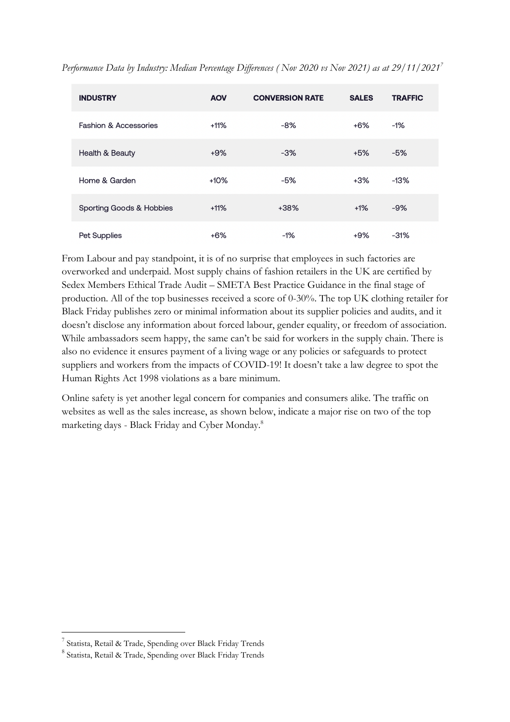| <b>INDUSTRY</b>                  | <b>AOV</b> | <b>CONVERSION RATE</b> | <b>SALES</b> | <b>TRAFFIC</b> |
|----------------------------------|------------|------------------------|--------------|----------------|
| <b>Fashion &amp; Accessories</b> | $+11%$     | $-8%$                  | $+6%$        | -1%            |
| Health & Beauty                  | $+9%$      | $-3%$                  | $+5%$        | $-5%$          |
| Home & Garden                    | $+10%$     | $-5%$                  | $+3%$        | $-13%$         |
| Sporting Goods & Hobbies         | $+11%$     | $+38%$                 | $+1%$        | $-9%$          |
| Pet Supplies                     | $+6%$      | -1%                    | $+9%$        | $-31%$         |

*Performance Data by Industry: Median Percentage Differences ( Nov 2020 vs Nov 2021) as at 29/11/20217*

From Labour and pay standpoint, it is of no surprise that employees in such factories are overworked and underpaid. Most supply chains of fashion retailers in the UK are certified by Sedex Members Ethical Trade Audit – SMETA Best Practice Guidance in the final stage of production. All of the top businesses received a score of 0-30%. The top UK clothing retailer for Black Friday publishes zero or minimal information about its supplier policies and audits, and it doesn't disclose any information about forced labour, gender equality, or freedom of association. While ambassadors seem happy, the same can't be said for workers in the supply chain. There is also no evidence it ensures payment of a living wage or any policies or safeguards to protect suppliers and workers from the impacts of COVID-19! It doesn't take a law degree to spot the Human Rights Act 1998 violations as a bare minimum.

Online safety is yet another legal concern for companies and consumers alike. The traffic on websites as well as the sales increase, as shown below, indicate a major rise on two of the top marketing days - Black Friday and Cyber Monday.8

<sup>7</sup> Statista, Retail & Trade, Spending over Black Friday Trends

<sup>8</sup> Statista, Retail & Trade, Spending over Black Friday Trends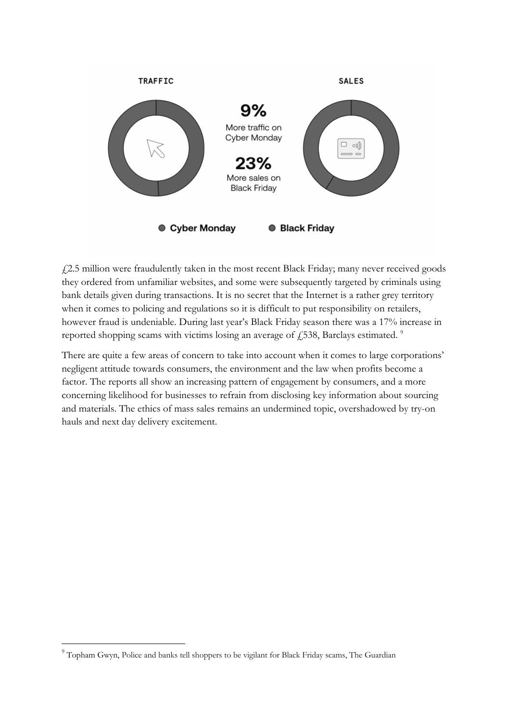

£2.5 million were fraudulently taken in the most recent Black Friday; many never received goods they ordered from unfamiliar websites, and some were subsequently targeted by criminals using bank details given during transactions. It is no secret that the Internet is a rather grey territory when it comes to policing and regulations so it is difficult to put responsibility on retailers, however fraud is undeniable. During last year's Black Friday season there was a 17% increase in reported shopping scams with victims losing an average of  $\ddot{\text{f}}$  538, Barclays estimated.<sup>9</sup>

There are quite a few areas of concern to take into account when it comes to large corporations' negligent attitude towards consumers, the environment and the law when profits become a factor. The reports all show an increasing pattern of engagement by consumers, and a more concerning likelihood for businesses to refrain from disclosing key information about sourcing and materials. The ethics of mass sales remains an undermined topic, overshadowed by try-on hauls and next day delivery excitement.

<sup>&</sup>lt;sup>9</sup> Topham Gwyn, Police and banks tell shoppers to be vigilant for Black Friday scams, The Guardian